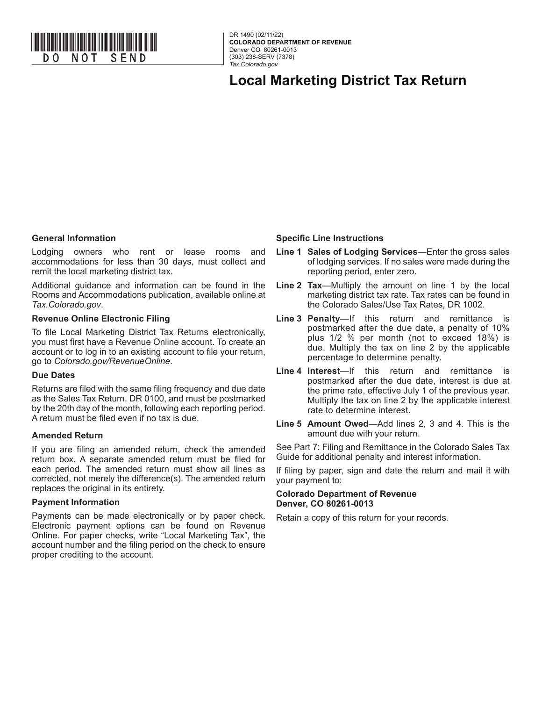

**COLORADO DEPARTMENT OF REVENUE**  Denver CO 80261-0013 (303) 238-SERV (7378) *Tax.Colorado.gov*

**Local Marketing District Tax Return**

## **General Information**

Lodging owners who rent or lease rooms and accommodations for less than 30 days, must collect and remit the local marketing district tax.

Additional guidance and information can be found in the Rooms and Accommodations publication, available online at *Tax.Colorado.gov*.

## **Revenue Online Electronic Filing**

To file Local Marketing District Tax Returns electronically, you must first have a Revenue Online account. To create an account or to log in to an existing account to file your return, go to *Colorado.gov/RevenueOnline*.

## **Due Dates**

Returns are filed with the same filing frequency and due date as the Sales Tax Return, DR 0100, and must be postmarked by the 20th day of the month, following each reporting period. A return must be filed even if no tax is due.

## **Amended Return**

If you are filing an amended return, check the amended return box. A separate amended return must be filed for each period. The amended return must show all lines as corrected, not merely the difference(s). The amended return replaces the original in its entirety.

## **Payment Information**

Payments can be made electronically or by paper check. Electronic payment options can be found on Revenue Online. For paper checks, write "Local Marketing Tax", the account number and the filing period on the check to ensure proper crediting to the account.

#### **Specific Line Instructions**

- **Line 1 Sales of Lodging Services**—Enter the gross sales of lodging services. If no sales were made during the reporting period, enter zero.
- **Line 2 Tax**—Multiply the amount on line 1 by the local marketing district tax rate. Tax rates can be found in the Colorado Sales/Use Tax Rates, DR 1002.
- **Line 3 Penalty**—If this return and remittance is postmarked after the due date, a penalty of 10% plus 1/2 % per month (not to exceed 18%) is due. Multiply the tax on line 2 by the applicable percentage to determine penalty.
- **Line 4 Interest**—If this return and remittance is postmarked after the due date, interest is due at the prime rate, effective July 1 of the previous year. Multiply the tax on line 2 by the applicable interest rate to determine interest.
- **Line 5 Amount Owed**—Add lines 2, 3 and 4. This is the amount due with your return.

See Part 7: Filing and Remittance in the Colorado Sales Tax Guide for additional penalty and interest information.

If filing by paper, sign and date the return and mail it with your payment to:

#### **Colorado Department of Revenue Denver, CO 80261-0013**

Retain a copy of this return for your records.